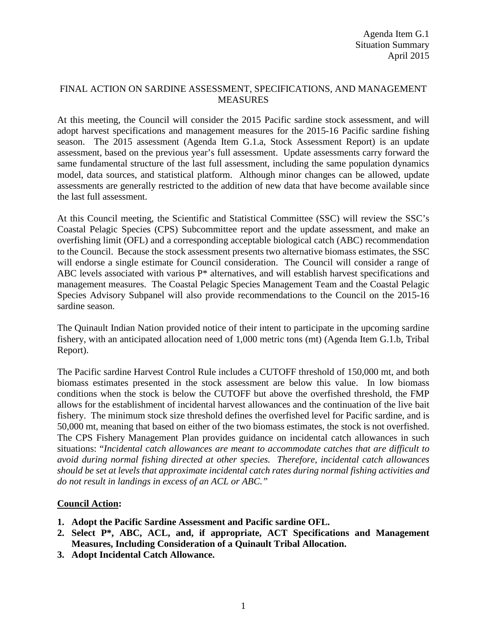## FINAL ACTION ON SARDINE ASSESSMENT, SPECIFICATIONS, AND MANAGEMENT MEASURES

At this meeting, the Council will consider the 2015 Pacific sardine stock assessment, and will adopt harvest specifications and management measures for the 2015-16 Pacific sardine fishing season. The 2015 assessment (Agenda Item G.1.a, Stock Assessment Report) is an update assessment, based on the previous year's full assessment. Update assessments carry forward the same fundamental structure of the last full assessment, including the same population dynamics model, data sources, and statistical platform. Although minor changes can be allowed, update assessments are generally restricted to the addition of new data that have become available since the last full assessment.

At this Council meeting, the Scientific and Statistical Committee (SSC) will review the SSC's Coastal Pelagic Species (CPS) Subcommittee report and the update assessment, and make an overfishing limit (OFL) and a corresponding acceptable biological catch (ABC) recommendation to the Council. Because the stock assessment presents two alternative biomass estimates, the SSC will endorse a single estimate for Council consideration. The Council will consider a range of ABC levels associated with various P\* alternatives, and will establish harvest specifications and management measures. The Coastal Pelagic Species Management Team and the Coastal Pelagic Species Advisory Subpanel will also provide recommendations to the Council on the 2015-16 sardine season.

The Quinault Indian Nation provided notice of their intent to participate in the upcoming sardine fishery, with an anticipated allocation need of 1,000 metric tons (mt) (Agenda Item G.1.b, Tribal Report).

The Pacific sardine Harvest Control Rule includes a CUTOFF threshold of 150,000 mt, and both biomass estimates presented in the stock assessment are below this value. In low biomass conditions when the stock is below the CUTOFF but above the overfished threshold, the FMP allows for the establishment of incidental harvest allowances and the continuation of the live bait fishery. The minimum stock size threshold defines the overfished level for Pacific sardine, and is 50,000 mt, meaning that based on either of the two biomass estimates, the stock is not overfished. The CPS Fishery Management Plan provides guidance on incidental catch allowances in such situations: "*Incidental catch allowances are meant to accommodate catches that are difficult to avoid during normal fishing directed at other species. Therefore, incidental catch allowances should be set at levels that approximate incidental catch rates during normal fishing activities and do not result in landings in excess of an ACL or ABC."*

## **Council Action:**

- **1. Adopt the Pacific Sardine Assessment and Pacific sardine OFL.**
- **2. Select P\*, ABC, ACL, and, if appropriate, ACT Specifications and Management Measures, Including Consideration of a Quinault Tribal Allocation.**
- **3. Adopt Incidental Catch Allowance.**